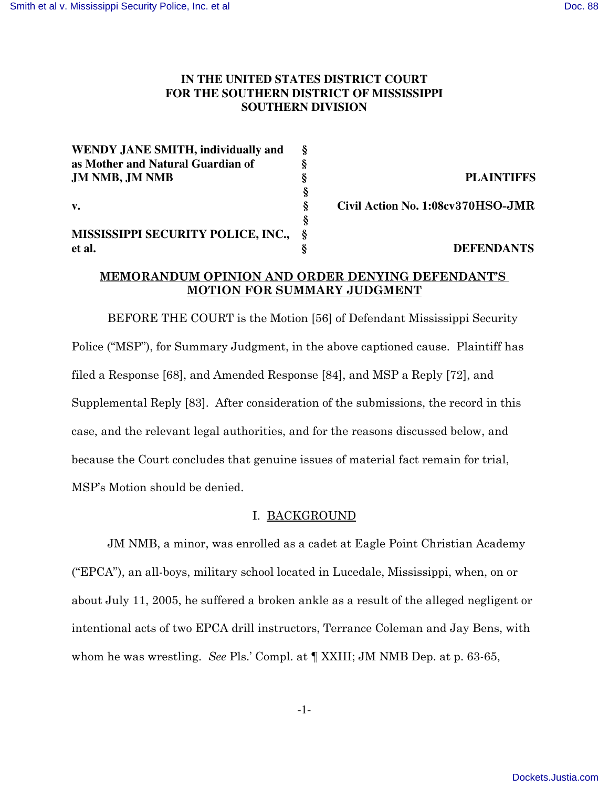## IN THE UNITED STATES DISTRICT COURT FOR THE SOUTHERN DISTRICT OF MISSISSIPPI **SOUTHERN DIVISION**

| WENDY JANE SMITH, individually and        | ş |                                   |
|-------------------------------------------|---|-----------------------------------|
| as Mother and Natural Guardian of         |   |                                   |
| JM NMB, JM NMB                            |   | <b>PLAINTIFFS</b>                 |
|                                           |   |                                   |
| V.                                        | Ş | Civil Action No. 1:08cv370HSO-JMR |
|                                           |   |                                   |
| <b>MISSISSIPPI SECURITY POLICE, INC.,</b> |   |                                   |
| et al.                                    |   | <b>DEFENDANTS</b>                 |

### MEMORANDUM OPINION AND ORDER DENYING DEFENDANT'S MOTION FOR SUMMARY JUDGMENT

BEFORE THE COURT is the Motion [56] of Defendant Mississippi Security Police ("MSP"), for Summary Judgment, in the above captioned cause. Plaintiff has filed a Response [68], and Amended Response [84], and MSP a Reply [72], and Supplemental Reply [83]. After consideration of the submissions, the record in this case, and the relevant legal authorities, and for the reasons discussed below, and because the Court concludes that genuine issues of material fact remain for trial, MSP's Motion should be denied.

### I. BACKGROUND

JM NMB, a minor, was enrolled as a cadet at Eagle Point Christian Academy ("EPCA"), an all-boys, military school located in Lucedale, Mississippi, when, on or about July 11, 2005, he suffered a broken ankle as a result of the alleged negligent or intentional acts of two EPCA drill instructors, Terrance Coleman and Jay Bens, with whom he was wrestling. See Pls.' Compl. at  $\parallel$  XXIII; JM NMB Dep. at p. 63-65,

 $-1-$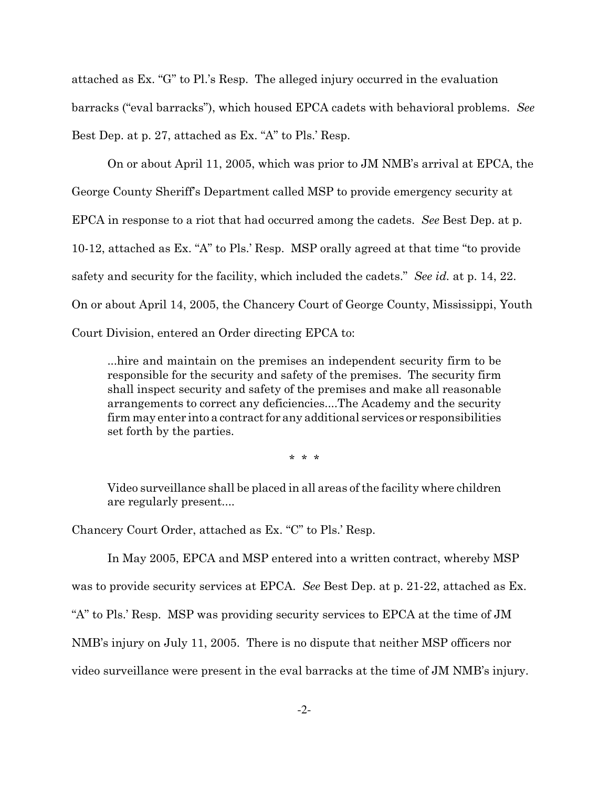attached as Ex. "G" to Pl.'s Resp. The alleged injury occurred in the evaluation barracks ("eval barracks"), which housed EPCA cadets with behavioral problems. See Best Dep. at p. 27, attached as Ex. "A" to Pls.' Resp.

On or about April 11, 2005, which was prior to JM NMB's arrival at EPCA, the George County Sheriff's Department called MSP to provide emergency security at EPCA in response to a riot that had occurred among the cadets. See Best Dep. at p. 10-12, attached as Ex. "A" to Pls.' Resp. MSP orally agreed at that time "to provide" safety and security for the facility, which included the cadets." See id. at p. 14, 22. On or about April 14, 2005, the Chancery Court of George County, Mississippi, Youth Court Division, entered an Order directing EPCA to:

...hire and maintain on the premises an independent security firm to be... responsible for the security and safety of the premises. The security firm shall inspect security and safety of the premises and make all reasonable arrangements to correct any deficiencies....The Academy and the security firm may enter into a contract for any additional services or responsibilities set forth by the parties.

 $* * *$ 

Video surveillance shall be placed in all areas of the facility where children are regularly present....

Chancery Court Order, attached as Ex. "C" to Pls.' Resp.

In May 2005, EPCA and MSP entered into a written contract, whereby MSP was to provide security services at EPCA. See Best Dep. at p. 21-22, attached as Ex. "A" to Pls.' Resp. MSP was providing security services to EPCA at the time of JM NMB's injury on July 11, 2005. There is no dispute that neither MSP officers nor video surveillance were present in the eval barracks at the time of JM NMB's injury.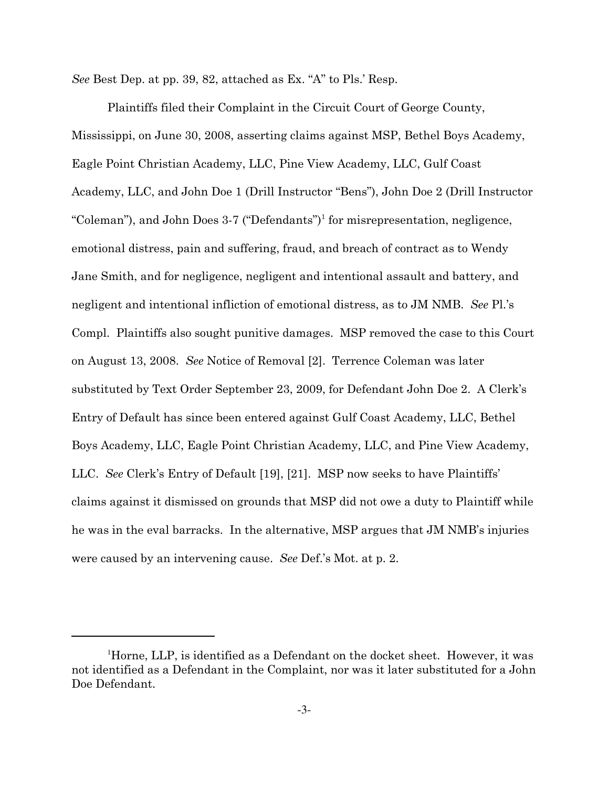See Best Dep. at pp. 39, 82, attached as Ex. "A" to Pls.' Resp.

Plaintiffs filed their Complaint in the Circuit Court of George County, Mississippi, on June 30, 2008, asserting claims against MSP, Bethel Boys Academy, Eagle Point Christian Academy, LLC, Pine View Academy, LLC, Gulf Coast Academy, LLC, and John Doe 1 (Drill Instructor "Bens"), John Doe 2 (Drill Instructor "Coleman"), and John Does 3-7 ("Defendants")<sup>1</sup> for misrepresentation, negligence, emotional distress, pain and suffering, fraud, and breach of contract as to Wendy Jane Smith, and for negligence, negligent and intentional assault and battery, and negligent and intentional infliction of emotional distress, as to JM NMB. See Pl.'s Compl. Plaintiffs also sought punitive damages. MSP removed the case to this Court on August 13, 2008. See Notice of Removal [2]. Terrence Coleman was later substituted by Text Order September 23, 2009, for Defendant John Doe 2. A Clerk's Entry of Default has since been entered against Gulf Coast Academy, LLC, Bethel Boys Academy, LLC, Eagle Point Christian Academy, LLC, and Pine View Academy, LLC. See Clerk's Entry of Default [19], [21]. MSP now seeks to have Plaintiffs' claims against it dismissed on grounds that MSP did not owe a duty to Plaintiff while he was in the eval barracks. In the alternative, MSP argues that JM NMB's injuries were caused by an intervening cause. See Def.'s Mot. at p. 2.

<sup>&</sup>lt;sup>1</sup>Horne, LLP, is identified as a Defendant on the docket sheet. However, it was not identified as a Defendant in the Complaint, nor was it later substituted for a John Doe Defendant.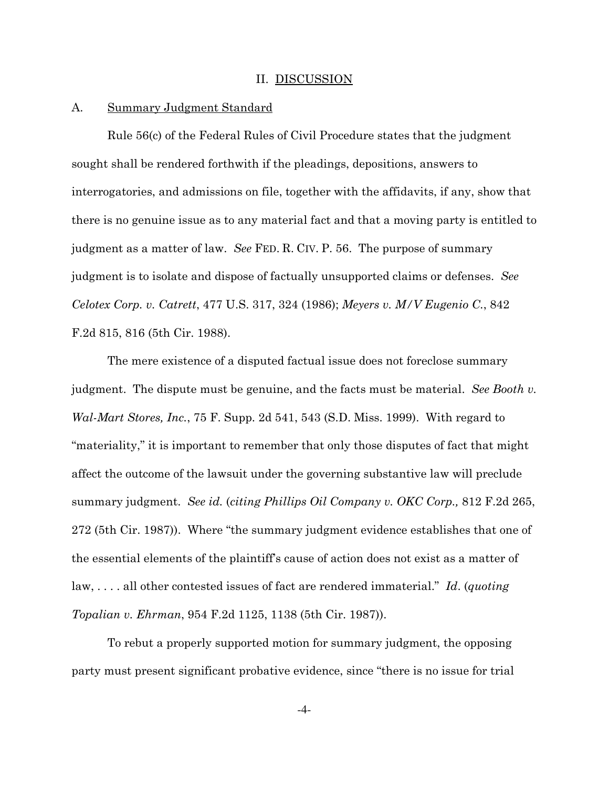### II. DISCUSSION

#### $A_{\cdot}$ **Summary Judgment Standard**

Rule 56(c) of the Federal Rules of Civil Procedure states that the judgment sought shall be rendered forthwith if the pleadings, depositions, answers to interrogatories, and admissions on file, together with the affidavits, if any, show that there is no genuine issue as to any material fact and that a moving party is entitled to judgment as a matter of law. See FED. R. CIV. P. 56. The purpose of summary judgment is to isolate and dispose of factually unsupported claims or defenses. See Celotex Corp. v. Catrett, 477 U.S. 317, 324 (1986); Meyers v. M/V Eugenio C., 842 F.2d 815, 816 (5th Cir. 1988).

The mere existence of a disputed factual issue does not foreclose summary judgment. The dispute must be genuine, and the facts must be material. See Booth v. *Wal-Mart Stores, Inc., 75 F.* Supp. 2d 541, 543 (S.D. Miss. 1999). With regard to "materiality," it is important to remember that only those disputes of fact that might affect the outcome of the lawsuit under the governing substantive law will preclude summary judgment. See id. (citing Phillips Oil Company v. OKC Corp., 812 F.2d 265, 272 (5th Cir. 1987)). Where "the summary judgment evidence establishes that one of the essential elements of the plaintiff's cause of action does not exist as a matter of  $law, \ldots$  all other contested issues of fact are rendered immaterial." Id. (quoting *Topalian v. Ehrman,* 954 F.2d 1125, 1138 (5th Cir. 1987).

To rebut a properly supported motion for summary judgment, the opposing party must present significant probative evidence, since "there is no issue for trial

 $-4-$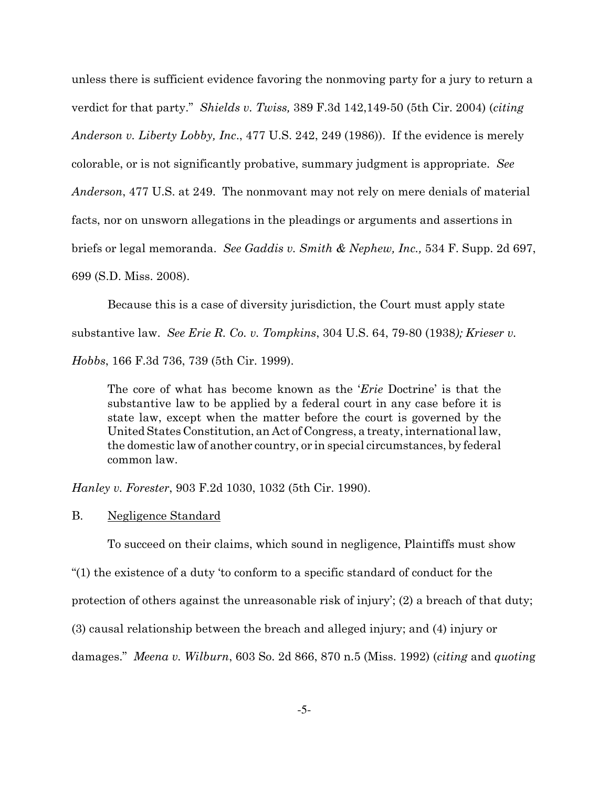unless there is sufficient evidence favoring the nonmoving party for a jury to return a verdict for that party." Shields v. Twiss, 389 F.3d 142,149-50 (5th Cir. 2004) (citing *Anderson v. Liberty Lobby, Inc., 477 U.S. 242, 249 (1986)).* If the evidence is merely colorable, or is not significantly probative, summary judgment is appropriate. See *Anderson*, 477 U.S. at 249. The nonmovant may not rely on mere denials of material facts, nor on unsworn allegations in the pleadings or arguments and assertions in briefs or legal memoranda. See Gaddis v. Smith & Nephew, Inc., 534 F. Supp. 2d 697, 699 (S.D. Miss. 2008).

Because this is a case of diversity jurisdiction, the Court must apply state substantive law. See Erie R. Co. v. Tompkins, 304 U.S. 64, 79-80 (1938); Krieser v. Hobbs, 166 F.3d 736, 739 (5th Cir. 1999).

The core of what has become known as the '*Erie* Doctrine' is that the substantive law to be applied by a federal court in any case before it is state law, except when the matter before the court is governed by the United States Constitution, an Act of Congress, a treaty, international law, the domestic law of another country, or in special circumstances, by federal common law.

*Hanley v. Forester, 903 F.2d 1030, 1032 (5th Cir. 1990).* 

#### **B.** Negligence Standard

To succeed on their claims, which sound in negligence, Plaintiffs must show

"(1) the existence of a duty 'to conform to a specific standard of conduct for the

protection of others against the unreasonable risk of injury'; (2) a breach of that duty;

(3) causal relationship between the breach and alleged injury; and (4) injury or

damages." Meena v. Wilburn, 603 So. 2d 866, 870 n.5 (Miss. 1992) (citing and quoting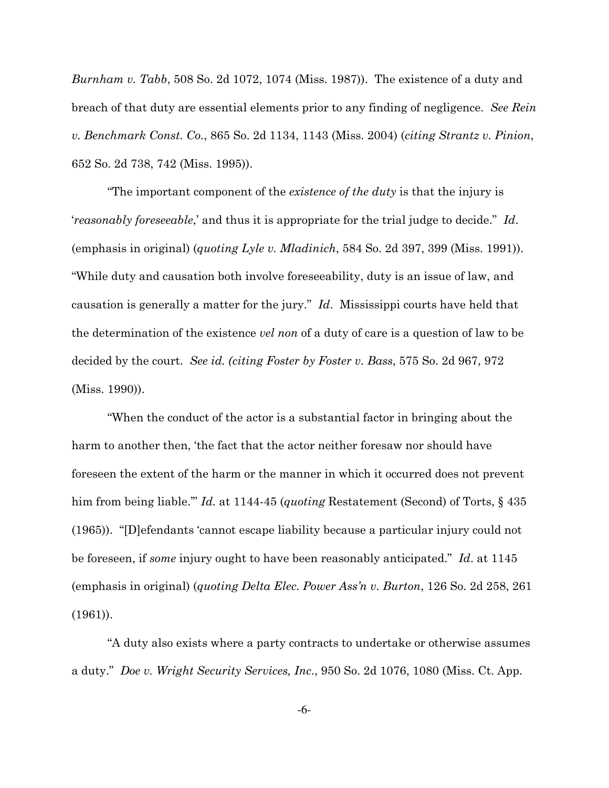*Burnham v. Tabb*, 508 So. 2d 1072, 1074 (Miss. 1987)). The existence of a duty and breach of that duty are essential elements prior to any finding of negligence. See Rein v. Benchmark Const. Co., 865 So. 2d 1134, 1143 (Miss. 2004) (citing Strantz v. Pinion, 652 So. 2d 738, 742 (Miss. 1995)).

"The important component of the *existence of the duty* is that the injury is *reasonably foreseeable,* and thus it is appropriate for the trial judge to decide." Id. (emphasis in original) (quoting Lyle v. Mladinich, 584 So. 2d 397, 399 (Miss. 1991)). "While duty and causation both involve foreseeability, duty is an issue of law, and causation is generally a matter for the jury." Id. Mississippi courts have held that the determination of the existence *vel non* of a duty of care is a question of law to be decided by the court. See id. (citing Foster by Foster v. Bass, 575 So. 2d 967, 972 (Miss.  $1990$ ).

"When the conduct of the actor is a substantial factor in bringing about the harm to another then, 'the fact that the actor neither foresaw nor should have foreseen the extent of the harm or the manner in which it occurred does not prevent him from being liable." Id. at 1144-45 (quoting Restatement (Second) of Torts,  $\S$  435 (1965)). "[D] efendants 'cannot escape liability because a particular injury could not be foreseen, if some injury ought to have been reasonably anticipated." Id. at 1145 (emphasis in original) (quoting Delta Elec. Power Ass'n v. Burton, 126 So. 2d 258, 261)  $(1961)$ ).

"A duty also exists where a party contracts to undertake or otherwise assumes a duty." Doe v. Wright Security Services, Inc., 950 So. 2d 1076, 1080 (Miss. Ct. App.

 $-6-$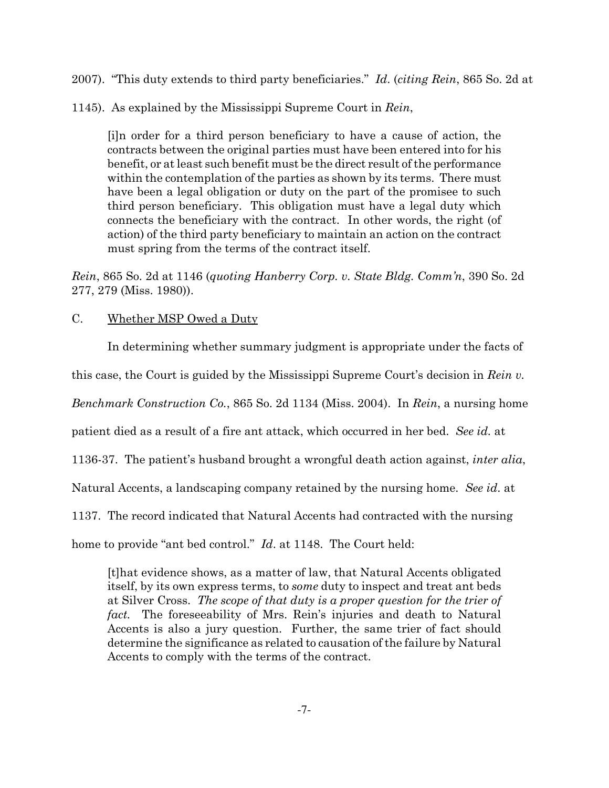2007). "This duty extends to third party beneficiaries." Id. (citing Rein, 865 So. 2d at

1145). As explained by the Mississippi Supreme Court in Rein,

[i]n order for a third person beneficiary to have a cause of action, the contracts between the original parties must have been entered into for his benefit, or at least such benefit must be the direct result of the performance within the contemplation of the parties as shown by its terms. There must have been a legal obligation or duty on the part of the promisee to such third person beneficiary. This obligation must have a legal duty which connects the beneficiary with the contract. In other words, the right (of action) of the third party beneficiary to maintain an action on the contract must spring from the terms of the contract itself.

Rein, 865 So. 2d at 1146 (quoting Hanberry Corp. v. State Bldg. Comm'n, 390 So. 2d 277, 279 (Miss. 1980)).

### $C_{\cdot}$ Whether MSP Owed a Duty

In determining whether summary judgment is appropriate under the facts of

this case, the Court is guided by the Mississippi Supreme Court's decision in Rein  $v$ .

*Benchmark Construction Co.*, 865 So. 2d 1134 (Miss. 2004). In *Rein*, a nursing home

patient died as a result of a fire ant attack, which occurred in her bed. See id. at

1136-37. The patient's husband brought a wrongful death action against, *inter alia*,

Natural Accents, a landscaping company retained by the nursing home. See id. at

1137. The record indicated that Natural Accents had contracted with the nursing

home to provide "ant bed control." *Id.* at 1148. The Court held:

[t] hat evidence shows, as a matter of law, that Natural Accents obligated itself, by its own express terms, to *some* duty to inspect and treat ant beds at Silver Cross. The scope of that duty is a proper question for the trier of *fact.* The foreseeability of Mrs. Rein's injuries and death to Natural Accents is also a jury question. Further, the same trier of fact should determine the significance as related to causation of the failure by Natural Accents to comply with the terms of the contract.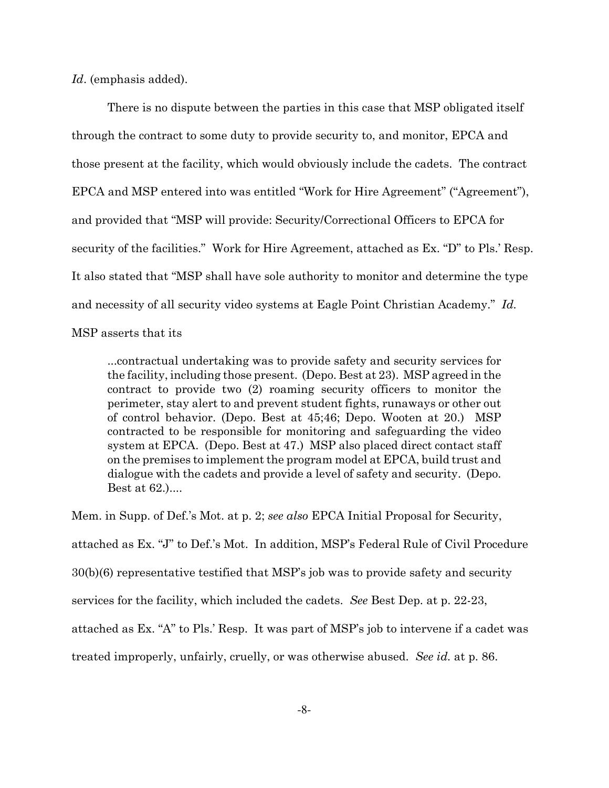*Id.* (emphasis added).

There is no dispute between the parties in this case that MSP obligated itself through the contract to some duty to provide security to, and monitor, EPCA and those present at the facility, which would obviously include the cadets. The contract EPCA and MSP entered into was entitled "Work for Hire Agreement" ("Agreement"), and provided that "MSP will provide: Security/Correctional Officers to EPCA for security of the facilities." Work for Hire Agreement, attached as Ex. "D" to Pls.' Resp. It also stated that "MSP shall have sole authority to monitor and determine the type and necessity of all security video systems at Eagle Point Christian Academy." Id.

MSP asserts that its

...contractual undertaking was to provide safety and security services for the facility, including those present. (Depo. Best at 23). MSP agreed in the contract to provide two (2) roaming security officers to monitor the perimeter, stay alert to and prevent student fights, runaways or other out of control behavior. (Depo. Best at 45,46; Depo. Wooten at 20.) MSP contracted to be responsible for monitoring and safeguarding the video system at EPCA. (Depo. Best at 47.) MSP also placed direct contact staff on the premises to implement the program model at EPCA, build trust and dialogue with the cadets and provide a level of safety and security. (Depo. Best at 62....

Mem. in Supp. of Def.'s Mot. at p. 2; see also EPCA Initial Proposal for Security, attached as Ex. "J" to Def.'s Mot. In addition, MSP's Federal Rule of Civil Procedure 30(b)(6) representative testified that MSP's job was to provide safety and security services for the facility, which included the cadets. See Best Dep. at p. 22-23, attached as Ex. "A" to Pls.' Resp. It was part of MSP's job to intervene if a cadet was treated improperly, unfairly, cruelly, or was otherwise abused. See id. at p. 86.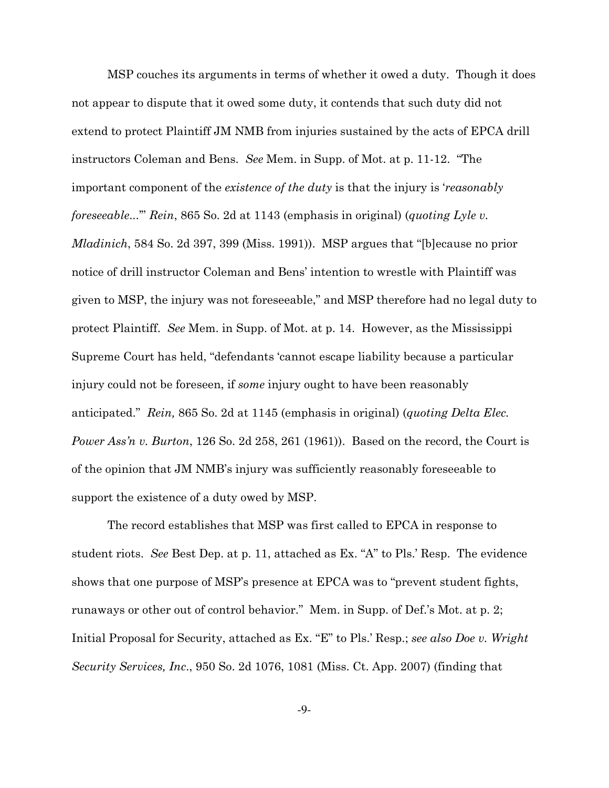MSP couches its arguments in terms of whether it owed a duty. Though it does not appear to dispute that it owed some duty, it contends that such duty did not extend to protect Plaintiff JM NMB from injuries sustained by the acts of EPCA drill instructors Coleman and Bens. See Mem. in Supp. of Mot. at p. 11-12. "The important component of the existence of the duty is that the injury is 'reasonably foreseeable..." Rein, 865 So. 2d at 1143 (emphasis in original) (quoting Lyle v. *Mladinich*, 584 So. 2d 397, 399 (Miss. 1991)). MSP argues that "[b] ecause no prior notice of drill instructor Coleman and Bens' intention to wrestle with Plaintiff was given to MSP, the injury was not foreseeable," and MSP therefore had no legal duty to protect Plaintiff. See Mem. in Supp. of Mot. at p. 14. However, as the Mississippi Supreme Court has held, "defendants 'cannot escape liability because a particular injury could not be foreseen, if *some* injury ought to have been reasonably anticipated." Rein, 865 So. 2d at 1145 (emphasis in original) (quoting Delta Elec. *Power Ass'n v. Burton*, 126 So. 2d 258, 261 (1961)). Based on the record, the Court is of the opinion that JM NMB's injury was sufficiently reasonably foreseeable to support the existence of a duty owed by MSP.

The record establishes that MSP was first called to EPCA in response to student riots. See Best Dep. at p. 11, attached as Ex. "A" to Pls.' Resp. The evidence shows that one purpose of MSP's presence at EPCA was to "prevent student fights, runaways or other out of control behavior." Mem. in Supp. of Def.'s Mot. at p. 2; Initial Proposal for Security, attached as Ex. "E" to Pls.' Resp.; see also Doe v. Wright Security Services, Inc., 950 So. 2d 1076, 1081 (Miss. Ct. App. 2007) (finding that

 $-9-$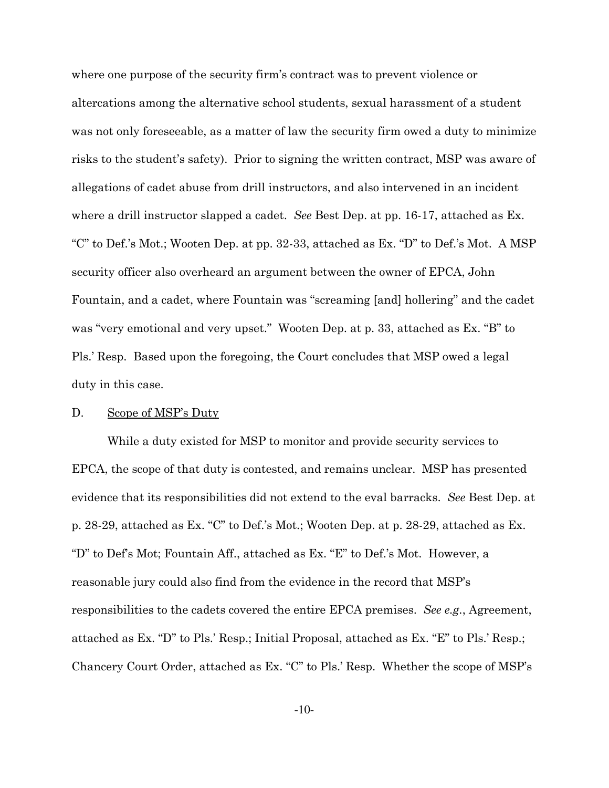where one purpose of the security firm's contract was to prevent violence or altercations among the alternative school students, sexual harassment of a student was not only foreseeable, as a matter of law the security firm owed a duty to minimize risks to the student's safety). Prior to signing the written contract, MSP was aware of allegations of cadet abuse from drill instructors, and also intervened in an incident where a drill instructor slapped a cadet. See Best Dep. at pp. 16-17, attached as Ex. "C" to Def.'s Mot.; Wooten Dep. at pp. 32-33, attached as Ex. "D" to Def.'s Mot. A MSP security officer also overheard an argument between the owner of EPCA, John Fountain, and a cadet, where Fountain was "screaming [and] hollering" and the cadet was "very emotional and very upset." Wooten Dep. at p. 33, attached as Ex. "B" to Pls.' Resp. Based upon the foregoing, the Court concludes that MSP owed a legal duty in this case.

#### D. **Scope of MSP's Duty**

While a duty existed for MSP to monitor and provide security services to EPCA, the scope of that duty is contested, and remains unclear. MSP has presented evidence that its responsibilities did not extend to the eval barracks. See Best Dep. at p. 28-29, attached as Ex. "C" to Def.'s Mot.; Wooten Dep. at p. 28-29, attached as Ex. "D" to Def's Mot; Fountain Aff., attached as Ex. "E" to Def.'s Mot. However, a reasonable jury could also find from the evidence in the record that MSP's responsibilities to the cadets covered the entire EPCA premises. See e.g., Agreement, attached as Ex. "D" to Pls.' Resp.; Initial Proposal, attached as Ex. "E" to Pls.' Resp.; Chancery Court Order, attached as Ex. "C" to Pls.' Resp. Whether the scope of MSP's

 $-10-$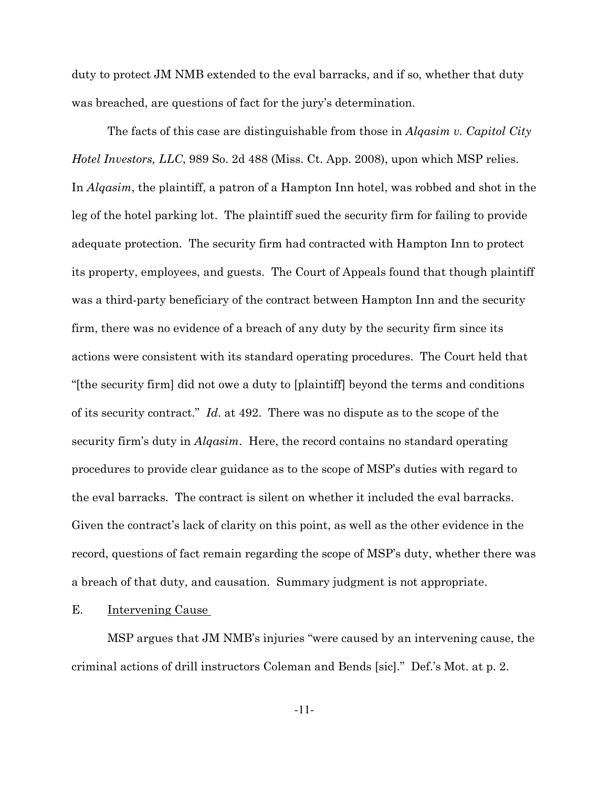duty to protect JM NMB extended to the eval barracks, and if so, whether that duty was breached, are questions of fact for the jury's determination.

The facts of this case are distinguishable from those in *Algasim v. Capitol City Hotel Investors, LLC, 989 So. 2d 488 (Miss. Ct. App. 2008), upon which MSP relies.* In *Algasim*, the plaintiff, a patron of a Hampton Inn hotel, was robbed and shot in the leg of the hotel parking lot. The plaintiff sued the security firm for failing to provide adequate protection. The security firm had contracted with Hampton Inn to protect its property, employees, and guests. The Court of Appeals found that though plaintiff was a third-party beneficiary of the contract between Hampton Inn and the security firm, there was no evidence of a breach of any duty by the security firm since its actions were consistent with its standard operating procedures. The Court held that "[the security firm] did not owe a duty to [plaintiff] beyond the terms and conditions of its security contract." Id. at 492. There was no dispute as to the scope of the security firm's duty in *Algasim*. Here, the record contains no standard operating procedures to provide clear guidance as to the scope of MSP's duties with regard to the eval barracks. The contract is silent on whether it included the eval barracks. Given the contract's lack of clarity on this point, as well as the other evidence in the record, questions of fact remain regarding the scope of MSP's duty, whether there was a breach of that duty, and causation. Summary judgment is not appropriate.

Е. **Intervening Cause** 

MSP argues that JM NMB's injuries "were caused by an intervening cause, the criminal actions of drill instructors Coleman and Bends [sic]." Def.'s Mot. at p. 2.

 $-11-$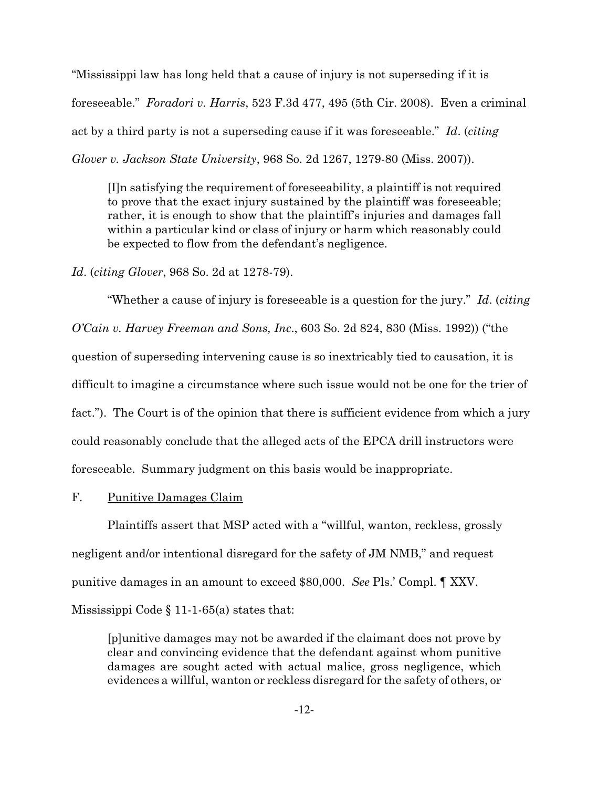"Mississippi law has long held that a cause of injury is not superseding if it is foreseeable." Foradori v. Harris, 523 F.3d 477, 495 (5th Cir. 2008). Even a criminal act by a third party is not a superseding cause if it was foreseeable." Id. (citing Glover v. Jackson State University, 968 So. 2d 1267, 1279-80 (Miss. 2007)).

Illn satisfying the requirement of foreseeability, a plaintiff is not required to prove that the exact injury sustained by the plaintiff was foreseeable; rather, it is enough to show that the plaintiff's injuries and damages fall within a particular kind or class of injury or harm which reasonably could be expected to flow from the defendant's negligence.

*Id.* (*citing Glover*, 968 So. 2d at 1278-79).

"Whether a cause of injury is foreseeable is a question for the jury." Id. (citing O'Cain v. Harvey Freeman and Sons, Inc., 603 So. 2d 824, 830 (Miss. 1992)) ("the question of superseding intervening cause is so inextricably tied to causation, it is difficult to imagine a circumstance where such issue would not be one for the trier of fact."). The Court is of the opinion that there is sufficient evidence from which a jury could reasonably conclude that the alleged acts of the EPCA drill instructors were fore seeable. Summary judgment on this basis would be inappropriate.

#### $\mathbf{F}_{\cdot}$ Punitive Damages Claim

Plaintiffs assert that MSP acted with a "willful, wanton, reckless, grossly negligent and/or intentional disregard for the safety of JM NMB," and request punitive damages in an amount to exceed \$80,000. See Pls.' Compl. ¶ XXV. Mississippi Code  $\S 11-1-65(a)$  states that:

[p] unitive damages may not be awarded if the claimant does not prove by clear and convincing evidence that the defendant against whom punitive damages are sought acted with actual malice, gross negligence, which evidences a willful, wanton or reckless disregard for the safety of others, or